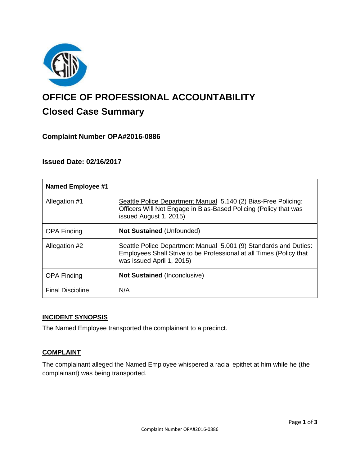

# **OFFICE OF PROFESSIONAL ACCOUNTABILITY Closed Case Summary**

## **Complaint Number OPA#2016-0886**

## **Issued Date: 02/16/2017**

| <b>Named Employee #1</b> |                                                                                                                                                                      |
|--------------------------|----------------------------------------------------------------------------------------------------------------------------------------------------------------------|
| Allegation #1            | Seattle Police Department Manual 5.140 (2) Bias-Free Policing:<br>Officers Will Not Engage in Bias-Based Policing (Policy that was<br>issued August 1, 2015)         |
| <b>OPA Finding</b>       | <b>Not Sustained (Unfounded)</b>                                                                                                                                     |
| Allegation #2            | Seattle Police Department Manual 5.001 (9) Standards and Duties:<br>Employees Shall Strive to be Professional at all Times (Policy that<br>was issued April 1, 2015) |
| <b>OPA Finding</b>       | <b>Not Sustained (Inconclusive)</b>                                                                                                                                  |
| <b>Final Discipline</b>  | N/A                                                                                                                                                                  |

#### **INCIDENT SYNOPSIS**

The Named Employee transported the complainant to a precinct.

## **COMPLAINT**

The complainant alleged the Named Employee whispered a racial epithet at him while he (the complainant) was being transported.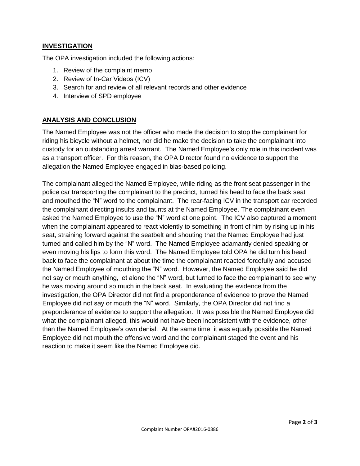## **INVESTIGATION**

The OPA investigation included the following actions:

- 1. Review of the complaint memo
- 2. Review of In-Car Videos (ICV)
- 3. Search for and review of all relevant records and other evidence
- 4. Interview of SPD employee

## **ANALYSIS AND CONCLUSION**

The Named Employee was not the officer who made the decision to stop the complainant for riding his bicycle without a helmet, nor did he make the decision to take the complainant into custody for an outstanding arrest warrant. The Named Employee's only role in this incident was as a transport officer. For this reason, the OPA Director found no evidence to support the allegation the Named Employee engaged in bias-based policing.

The complainant alleged the Named Employee, while riding as the front seat passenger in the police car transporting the complainant to the precinct, turned his head to face the back seat and mouthed the "N" word to the complainant. The rear-facing ICV in the transport car recorded the complainant directing insults and taunts at the Named Employee. The complainant even asked the Named Employee to use the "N" word at one point. The ICV also captured a moment when the complainant appeared to react violently to something in front of him by rising up in his seat, straining forward against the seatbelt and shouting that the Named Employee had just turned and called him by the "N" word. The Named Employee adamantly denied speaking or even moving his lips to form this word. The Named Employee told OPA he did turn his head back to face the complainant at about the time the complainant reacted forcefully and accused the Named Employee of mouthing the "N" word. However, the Named Employee said he did not say or mouth anything, let alone the "N" word, but turned to face the complainant to see why he was moving around so much in the back seat. In evaluating the evidence from the investigation, the OPA Director did not find a preponderance of evidence to prove the Named Employee did not say or mouth the "N" word. Similarly, the OPA Director did not find a preponderance of evidence to support the allegation. It was possible the Named Employee did what the complainant alleged, this would not have been inconsistent with the evidence, other than the Named Employee's own denial. At the same time, it was equally possible the Named Employee did not mouth the offensive word and the complainant staged the event and his reaction to make it seem like the Named Employee did.